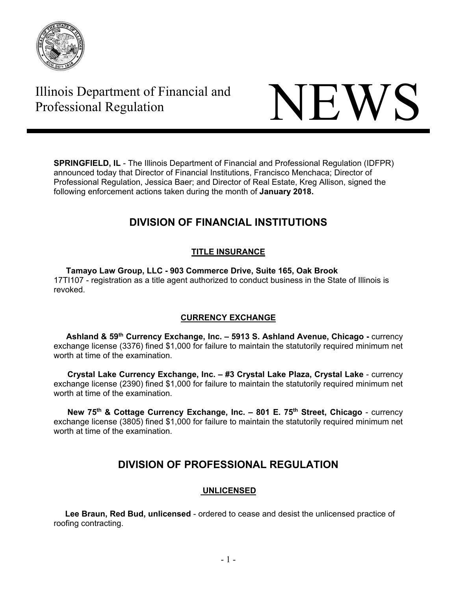

# Illinois Department of Financial and



**SPRINGFIELD, IL** - The Illinois Department of Financial and Professional Regulation (IDFPR) announced today that Director of Financial Institutions, Francisco Menchaca; Director of Professional Regulation, Jessica Baer; and Director of Real Estate, Kreg Allison, signed the following enforcement actions taken during the month of **January 2018.** 

# **DIVISION OF FINANCIAL INSTITUTIONS**

# **TITLE INSURANCE**

 **Tamayo Law Group, LLC - 903 Commerce Drive, Suite 165, Oak Brook**  17TI107 - registration as a title agent authorized to conduct business in the State of Illinois is revoked.

# **CURRENCY EXCHANGE**

Ashland & 59<sup>th</sup> Currency Exchange, Inc. - 5913 S. Ashland Avenue, Chicago - currency exchange license (3376) fined \$1,000 for failure to maintain the statutorily required minimum net worth at time of the examination.

 **Crystal Lake Currency Exchange, Inc. – #3 Crystal Lake Plaza, Crystal Lake** - currency exchange license (2390) fined \$1,000 for failure to maintain the statutorily required minimum net worth at time of the examination.

 **New 75th & Cottage Currency Exchange, Inc. – 801 E. 75th Street, Chicago** - currency exchange license (3805) fined \$1,000 for failure to maintain the statutorily required minimum net worth at time of the examination.

# **DIVISION OF PROFESSIONAL REGULATION**

# **UNLICENSED**

 **Lee Braun, Red Bud, unlicensed** - ordered to cease and desist the unlicensed practice of roofing contracting.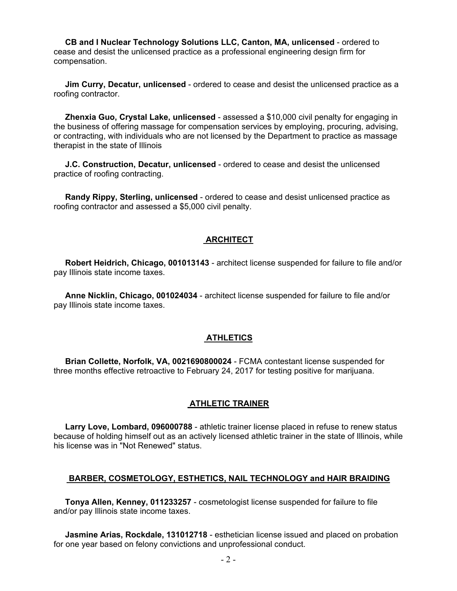**CB and I Nuclear Technology Solutions LLC, Canton, MA, unlicensed** - ordered to cease and desist the unlicensed practice as a professional engineering design firm for compensation.

 **Jim Curry, Decatur, unlicensed** - ordered to cease and desist the unlicensed practice as a roofing contractor.

 **Zhenxia Guo, Crystal Lake, unlicensed** - assessed a \$10,000 civil penalty for engaging in the business of offering massage for compensation services by employing, procuring, advising, or contracting, with individuals who are not licensed by the Department to practice as massage therapist in the state of Illinois

 **J.C. Construction, Decatur, unlicensed** - ordered to cease and desist the unlicensed practice of roofing contracting.

 **Randy Rippy, Sterling, unlicensed** - ordered to cease and desist unlicensed practice as roofing contractor and assessed a \$5,000 civil penalty.

#### **ARCHITECT**

 **Robert Heidrich, Chicago, 001013143** - architect license suspended for failure to file and/or pay Illinois state income taxes.

 **Anne Nicklin, Chicago, 001024034** - architect license suspended for failure to file and/or pay Illinois state income taxes.

#### **ATHLETICS**

 **Brian Collette, Norfolk, VA, 0021690800024** - FCMA contestant license suspended for three months effective retroactive to February 24, 2017 for testing positive for marijuana.

#### **ATHLETIC TRAINER**

 **Larry Love, Lombard, 096000788** - athletic trainer license placed in refuse to renew status because of holding himself out as an actively licensed athletic trainer in the state of Illinois, while his license was in "Not Renewed" status.

#### **BARBER, COSMETOLOGY, ESTHETICS, NAIL TECHNOLOGY and HAIR BRAIDING**

 **Tonya Allen, Kenney, 011233257** - cosmetologist license suspended for failure to file and/or pay Illinois state income taxes.

 **Jasmine Arias, Rockdale, 131012718** - esthetician license issued and placed on probation for one year based on felony convictions and unprofessional conduct.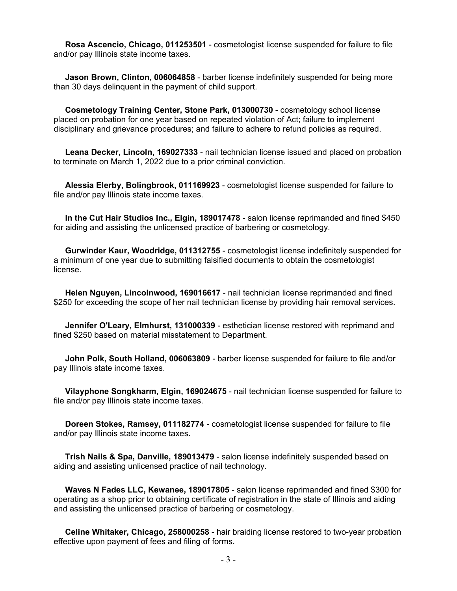**Rosa Ascencio, Chicago, 011253501** - cosmetologist license suspended for failure to file and/or pay Illinois state income taxes.

 **Jason Brown, Clinton, 006064858** - barber license indefinitely suspended for being more than 30 days delinquent in the payment of child support.

 **Cosmetology Training Center, Stone Park, 013000730** - cosmetology school license placed on probation for one year based on repeated violation of Act; failure to implement disciplinary and grievance procedures; and failure to adhere to refund policies as required.

 **Leana Decker, Lincoln, 169027333** - nail technician license issued and placed on probation to terminate on March 1, 2022 due to a prior criminal conviction.

 **Alessia Elerby, Bolingbrook, 011169923** - cosmetologist license suspended for failure to file and/or pay Illinois state income taxes.

 **In the Cut Hair Studios Inc., Elgin, 189017478** - salon license reprimanded and fined \$450 for aiding and assisting the unlicensed practice of barbering or cosmetology.

 **Gurwinder Kaur, Woodridge, 011312755** - cosmetologist license indefinitely suspended for a minimum of one year due to submitting falsified documents to obtain the cosmetologist license.

 **Helen Nguyen, Lincolnwood, 169016617** - nail technician license reprimanded and fined \$250 for exceeding the scope of her nail technician license by providing hair removal services.

 **Jennifer O'Leary, Elmhurst, 131000339** - esthetician license restored with reprimand and fined \$250 based on material misstatement to Department.

 **John Polk, South Holland, 006063809** - barber license suspended for failure to file and/or pay Illinois state income taxes.

 **Vilayphone Songkharm, Elgin, 169024675** - nail technician license suspended for failure to file and/or pay Illinois state income taxes.

 **Doreen Stokes, Ramsey, 011182774** - cosmetologist license suspended for failure to file and/or pay Illinois state income taxes.

 **Trish Nails & Spa, Danville, 189013479** - salon license indefinitely suspended based on aiding and assisting unlicensed practice of nail technology.

 **Waves N Fades LLC, Kewanee, 189017805** - salon license reprimanded and fined \$300 for operating as a shop prior to obtaining certificate of registration in the state of Illinois and aiding and assisting the unlicensed practice of barbering or cosmetology.

 **Celine Whitaker, Chicago, 258000258** - hair braiding license restored to two-year probation effective upon payment of fees and filing of forms.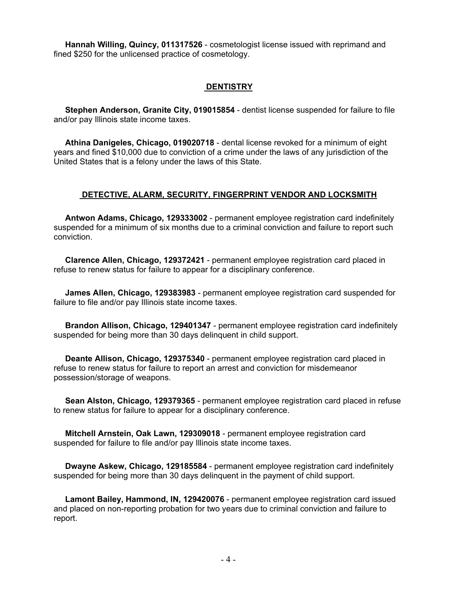**Hannah Willing, Quincy, 011317526** - cosmetologist license issued with reprimand and fined \$250 for the unlicensed practice of cosmetology.

## **DENTISTRY**

 **Stephen Anderson, Granite City, 019015854** - dentist license suspended for failure to file and/or pay Illinois state income taxes.

 **Athina Danigeles, Chicago, 019020718** - dental license revoked for a minimum of eight years and fined \$10,000 due to conviction of a crime under the laws of any jurisdiction of the United States that is a felony under the laws of this State.

## **DETECTIVE, ALARM, SECURITY, FINGERPRINT VENDOR AND LOCKSMITH**

 **Antwon Adams, Chicago, 129333002** - permanent employee registration card indefinitely suspended for a minimum of six months due to a criminal conviction and failure to report such conviction.

 **Clarence Allen, Chicago, 129372421** - permanent employee registration card placed in refuse to renew status for failure to appear for a disciplinary conference.

 **James Allen, Chicago, 129383983** - permanent employee registration card suspended for failure to file and/or pay Illinois state income taxes.

 **Brandon Allison, Chicago, 129401347** - permanent employee registration card indefinitely suspended for being more than 30 days delinquent in child support.

 **Deante Allison, Chicago, 129375340** - permanent employee registration card placed in refuse to renew status for failure to report an arrest and conviction for misdemeanor possession/storage of weapons.

 **Sean Alston, Chicago, 129379365** - permanent employee registration card placed in refuse to renew status for failure to appear for a disciplinary conference.

 **Mitchell Arnstein, Oak Lawn, 129309018** - permanent employee registration card suspended for failure to file and/or pay Illinois state income taxes.

 **Dwayne Askew, Chicago, 129185584** - permanent employee registration card indefinitely suspended for being more than 30 days delinquent in the payment of child support.

 **Lamont Bailey, Hammond, IN, 129420076** - permanent employee registration card issued and placed on non-reporting probation for two years due to criminal conviction and failure to report.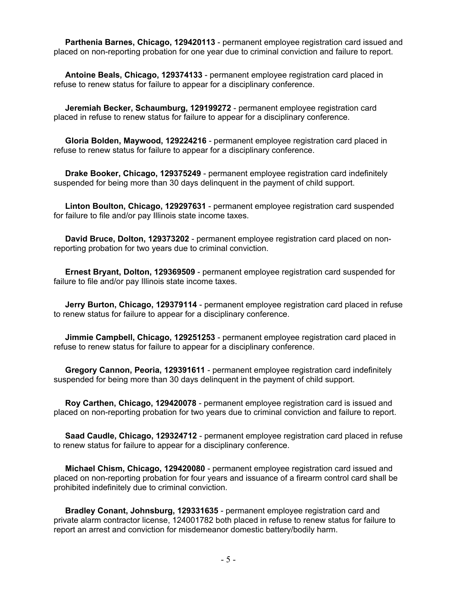**Parthenia Barnes, Chicago, 129420113** - permanent employee registration card issued and placed on non-reporting probation for one year due to criminal conviction and failure to report.

 **Antoine Beals, Chicago, 129374133** - permanent employee registration card placed in refuse to renew status for failure to appear for a disciplinary conference.

 **Jeremiah Becker, Schaumburg, 129199272** - permanent employee registration card placed in refuse to renew status for failure to appear for a disciplinary conference.

 **Gloria Bolden, Maywood, 129224216** - permanent employee registration card placed in refuse to renew status for failure to appear for a disciplinary conference.

 **Drake Booker, Chicago, 129375249** - permanent employee registration card indefinitely suspended for being more than 30 days delinquent in the payment of child support.

 **Linton Boulton, Chicago, 129297631** - permanent employee registration card suspended for failure to file and/or pay Illinois state income taxes.

 **David Bruce, Dolton, 129373202** - permanent employee registration card placed on nonreporting probation for two years due to criminal conviction.

 **Ernest Bryant, Dolton, 129369509** - permanent employee registration card suspended for failure to file and/or pay Illinois state income taxes.

 **Jerry Burton, Chicago, 129379114** - permanent employee registration card placed in refuse to renew status for failure to appear for a disciplinary conference.

 **Jimmie Campbell, Chicago, 129251253** - permanent employee registration card placed in refuse to renew status for failure to appear for a disciplinary conference.

 **Gregory Cannon, Peoria, 129391611** - permanent employee registration card indefinitely suspended for being more than 30 days delinquent in the payment of child support.

 **Roy Carthen, Chicago, 129420078** - permanent employee registration card is issued and placed on non-reporting probation for two years due to criminal conviction and failure to report.

 **Saad Caudle, Chicago, 129324712** - permanent employee registration card placed in refuse to renew status for failure to appear for a disciplinary conference.

 **Michael Chism, Chicago, 129420080** - permanent employee registration card issued and placed on non-reporting probation for four years and issuance of a firearm control card shall be prohibited indefinitely due to criminal conviction.

 **Bradley Conant, Johnsburg, 129331635** - permanent employee registration card and private alarm contractor license, 124001782 both placed in refuse to renew status for failure to report an arrest and conviction for misdemeanor domestic battery/bodily harm.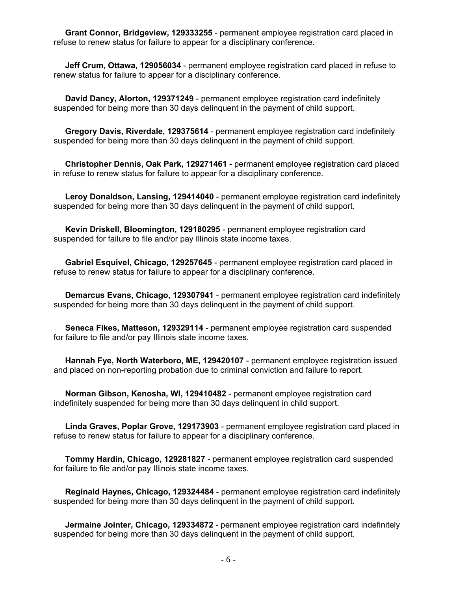**Grant Connor, Bridgeview, 129333255** - permanent employee registration card placed in refuse to renew status for failure to appear for a disciplinary conference.

 **Jeff Crum, Ottawa, 129056034** - permanent employee registration card placed in refuse to renew status for failure to appear for a disciplinary conference.

 **David Dancy, Alorton, 129371249** - permanent employee registration card indefinitely suspended for being more than 30 days delinquent in the payment of child support.

 **Gregory Davis, Riverdale, 129375614** - permanent employee registration card indefinitely suspended for being more than 30 days delinquent in the payment of child support.

 **Christopher Dennis, Oak Park, 129271461** - permanent employee registration card placed in refuse to renew status for failure to appear for a disciplinary conference.

 **Leroy Donaldson, Lansing, 129414040** - permanent employee registration card indefinitely suspended for being more than 30 days delinquent in the payment of child support.

 **Kevin Driskell, Bloomington, 129180295** - permanent employee registration card suspended for failure to file and/or pay Illinois state income taxes.

 **Gabriel Esquivel, Chicago, 129257645** - permanent employee registration card placed in refuse to renew status for failure to appear for a disciplinary conference.

 **Demarcus Evans, Chicago, 129307941** - permanent employee registration card indefinitely suspended for being more than 30 days delinquent in the payment of child support.

 **Seneca Fikes, Matteson, 129329114** - permanent employee registration card suspended for failure to file and/or pay Illinois state income taxes.

 **Hannah Fye, North Waterboro, ME, 129420107** - permanent employee registration issued and placed on non-reporting probation due to criminal conviction and failure to report.

 **Norman Gibson, Kenosha, WI, 129410482** - permanent employee registration card indefinitely suspended for being more than 30 days delinquent in child support.

 **Linda Graves, Poplar Grove, 129173903** - permanent employee registration card placed in refuse to renew status for failure to appear for a disciplinary conference.

 **Tommy Hardin, Chicago, 129281827** - permanent employee registration card suspended for failure to file and/or pay Illinois state income taxes.

 **Reginald Haynes, Chicago, 129324484** - permanent employee registration card indefinitely suspended for being more than 30 days delinquent in the payment of child support.

 **Jermaine Jointer, Chicago, 129334872** - permanent employee registration card indefinitely suspended for being more than 30 days delinquent in the payment of child support.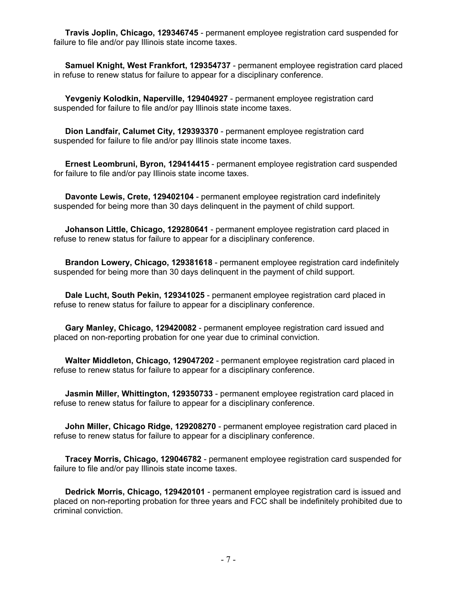**Travis Joplin, Chicago, 129346745** - permanent employee registration card suspended for failure to file and/or pay Illinois state income taxes.

 **Samuel Knight, West Frankfort, 129354737** - permanent employee registration card placed in refuse to renew status for failure to appear for a disciplinary conference.

 **Yevgeniy Kolodkin, Naperville, 129404927** - permanent employee registration card suspended for failure to file and/or pay Illinois state income taxes.

 **Dion Landfair, Calumet City, 129393370** - permanent employee registration card suspended for failure to file and/or pay Illinois state income taxes.

 **Ernest Leombruni, Byron, 129414415** - permanent employee registration card suspended for failure to file and/or pay Illinois state income taxes.

 **Davonte Lewis, Crete, 129402104** - permanent employee registration card indefinitely suspended for being more than 30 days delinquent in the payment of child support.

 **Johanson Little, Chicago, 129280641** - permanent employee registration card placed in refuse to renew status for failure to appear for a disciplinary conference.

 **Brandon Lowery, Chicago, 129381618** - permanent employee registration card indefinitely suspended for being more than 30 days delinquent in the payment of child support.

 **Dale Lucht, South Pekin, 129341025** - permanent employee registration card placed in refuse to renew status for failure to appear for a disciplinary conference.

 **Gary Manley, Chicago, 129420082** - permanent employee registration card issued and placed on non-reporting probation for one year due to criminal conviction.

 **Walter Middleton, Chicago, 129047202** - permanent employee registration card placed in refuse to renew status for failure to appear for a disciplinary conference.

 **Jasmin Miller, Whittington, 129350733** - permanent employee registration card placed in refuse to renew status for failure to appear for a disciplinary conference.

 **John Miller, Chicago Ridge, 129208270** - permanent employee registration card placed in refuse to renew status for failure to appear for a disciplinary conference.

 **Tracey Morris, Chicago, 129046782** - permanent employee registration card suspended for failure to file and/or pay Illinois state income taxes.

 **Dedrick Morris, Chicago, 129420101** - permanent employee registration card is issued and placed on non-reporting probation for three years and FCC shall be indefinitely prohibited due to criminal conviction.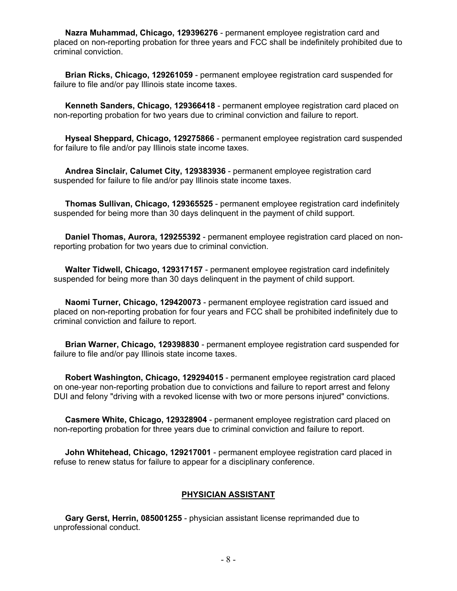**Nazra Muhammad, Chicago, 129396276** - permanent employee registration card and placed on non-reporting probation for three years and FCC shall be indefinitely prohibited due to criminal conviction.

 **Brian Ricks, Chicago, 129261059** - permanent employee registration card suspended for failure to file and/or pay Illinois state income taxes.

 **Kenneth Sanders, Chicago, 129366418** - permanent employee registration card placed on non-reporting probation for two years due to criminal conviction and failure to report.

 **Hyseal Sheppard, Chicago, 129275866** - permanent employee registration card suspended for failure to file and/or pay Illinois state income taxes.

 **Andrea Sinclair, Calumet City, 129383936** - permanent employee registration card suspended for failure to file and/or pay Illinois state income taxes.

 **Thomas Sullivan, Chicago, 129365525** - permanent employee registration card indefinitely suspended for being more than 30 days delinquent in the payment of child support.

 **Daniel Thomas, Aurora, 129255392** - permanent employee registration card placed on nonreporting probation for two years due to criminal conviction.

 **Walter Tidwell, Chicago, 129317157** - permanent employee registration card indefinitely suspended for being more than 30 days delinquent in the payment of child support.

 **Naomi Turner, Chicago, 129420073** - permanent employee registration card issued and placed on non-reporting probation for four years and FCC shall be prohibited indefinitely due to criminal conviction and failure to report.

 **Brian Warner, Chicago, 129398830** - permanent employee registration card suspended for failure to file and/or pay Illinois state income taxes.

 **Robert Washington, Chicago, 129294015** - permanent employee registration card placed on one-year non-reporting probation due to convictions and failure to report arrest and felony DUI and felony "driving with a revoked license with two or more persons injured" convictions.

 **Casmere White, Chicago, 129328904** - permanent employee registration card placed on non-reporting probation for three years due to criminal conviction and failure to report.

 **John Whitehead, Chicago, 129217001** - permanent employee registration card placed in refuse to renew status for failure to appear for a disciplinary conference.

#### **PHYSICIAN ASSISTANT**

 **Gary Gerst, Herrin, 085001255** - physician assistant license reprimanded due to unprofessional conduct.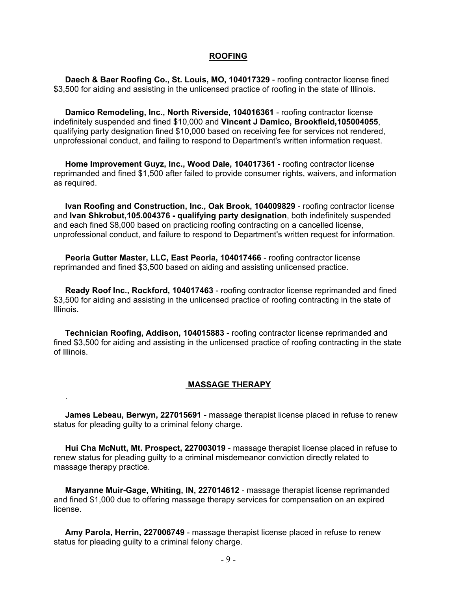#### **ROOFING**

 **Daech & Baer Roofing Co., St. Louis, MO, 104017329** - roofing contractor license fined \$3,500 for aiding and assisting in the unlicensed practice of roofing in the state of Illinois.

 **Damico Remodeling, Inc., North Riverside, 104016361** - roofing contractor license indefinitely suspended and fined \$10,000 and **Vincent J Damico, Brookfield,105004055**, qualifying party designation fined \$10,000 based on receiving fee for services not rendered, unprofessional conduct, and failing to respond to Department's written information request.

 **Home Improvement Guyz, Inc., Wood Dale, 104017361** - roofing contractor license reprimanded and fined \$1,500 after failed to provide consumer rights, waivers, and information as required.

 **Ivan Roofing and Construction, Inc., Oak Brook, 104009829** - roofing contractor license and **Ivan Shkrobut,105.004376 - qualifying party designation**, both indefinitely suspended and each fined \$8,000 based on practicing roofing contracting on a cancelled license, unprofessional conduct, and failure to respond to Department's written request for information.

 **Peoria Gutter Master, LLC, East Peoria, 104017466** - roofing contractor license reprimanded and fined \$3,500 based on aiding and assisting unlicensed practice.

 **Ready Roof Inc., Rockford, 104017463** - roofing contractor license reprimanded and fined \$3,500 for aiding and assisting in the unlicensed practice of roofing contracting in the state of Illinois.

 **Technician Roofing, Addison, 104015883** - roofing contractor license reprimanded and fined \$3,500 for aiding and assisting in the unlicensed practice of roofing contracting in the state of Illinois.

#### **MASSAGE THERAPY**

 **James Lebeau, Berwyn, 227015691** - massage therapist license placed in refuse to renew status for pleading guilty to a criminal felony charge.

.

 **Hui Cha McNutt, Mt. Prospect, 227003019** - massage therapist license placed in refuse to renew status for pleading guilty to a criminal misdemeanor conviction directly related to massage therapy practice.

 **Maryanne Muir-Gage, Whiting, IN, 227014612** - massage therapist license reprimanded and fined \$1,000 due to offering massage therapy services for compensation on an expired license.

 **Amy Parola, Herrin, 227006749** - massage therapist license placed in refuse to renew status for pleading guilty to a criminal felony charge.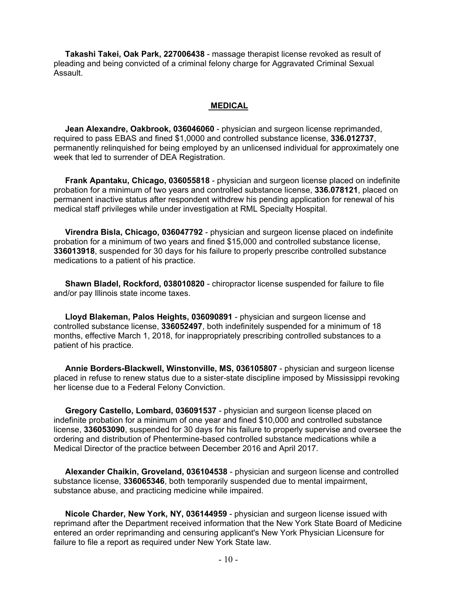**Takashi Takei, Oak Park, 227006438** - massage therapist license revoked as result of pleading and being convicted of a criminal felony charge for Aggravated Criminal Sexual Assault.

#### **MEDICAL**

 **Jean Alexandre, Oakbrook, 036046060** - physician and surgeon license reprimanded, required to pass EBAS and fined \$1,0000 and controlled substance license, **336.012737**, permanently relinquished for being employed by an unlicensed individual for approximately one week that led to surrender of DEA Registration.

 **Frank Apantaku, Chicago, 036055818** - physician and surgeon license placed on indefinite probation for a minimum of two years and controlled substance license, **336.078121**, placed on permanent inactive status after respondent withdrew his pending application for renewal of his medical staff privileges while under investigation at RML Specialty Hospital.

 **Virendra Bisla, Chicago, 036047792** - physician and surgeon license placed on indefinite probation for a minimum of two years and fined \$15,000 and controlled substance license, **336013918**, suspended for 30 days for his failure to properly prescribe controlled substance medications to a patient of his practice.

 **Shawn Bladel, Rockford, 038010820** - chiropractor license suspended for failure to file and/or pay Illinois state income taxes.

 **Lloyd Blakeman, Palos Heights, 036090891** - physician and surgeon license and controlled substance license, **336052497**, both indefinitely suspended for a minimum of 18 months, effective March 1, 2018, for inappropriately prescribing controlled substances to a patient of his practice.

 **Annie Borders-Blackwell, Winstonville, MS, 036105807** - physician and surgeon license placed in refuse to renew status due to a sister-state discipline imposed by Mississippi revoking her license due to a Federal Felony Conviction.

 **Gregory Castello, Lombard, 036091537** - physician and surgeon license placed on indefinite probation for a minimum of one year and fined \$10,000 and controlled substance license, **336053090**, suspended for 30 days for his failure to properly supervise and oversee the ordering and distribution of Phentermine-based controlled substance medications while a Medical Director of the practice between December 2016 and April 2017.

 **Alexander Chaikin, Groveland, 036104538** - physician and surgeon license and controlled substance license, **336065346**, both temporarily suspended due to mental impairment, substance abuse, and practicing medicine while impaired.

 **Nicole Charder, New York, NY, 036144959** - physician and surgeon license issued with reprimand after the Department received information that the New York State Board of Medicine entered an order reprimanding and censuring applicant's New York Physician Licensure for failure to file a report as required under New York State law.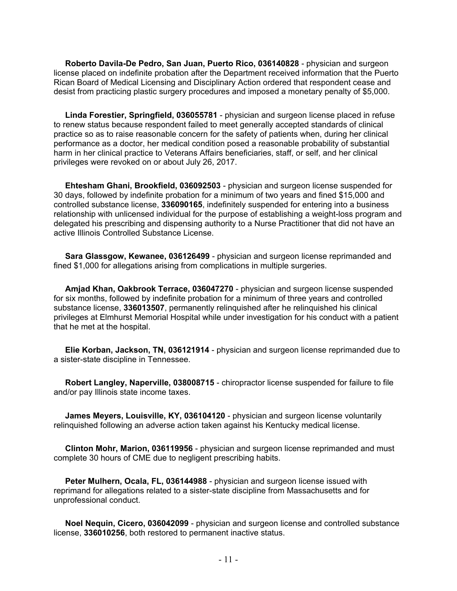**Roberto Davila-De Pedro, San Juan, Puerto Rico, 036140828** - physician and surgeon license placed on indefinite probation after the Department received information that the Puerto Rican Board of Medical Licensing and Disciplinary Action ordered that respondent cease and desist from practicing plastic surgery procedures and imposed a monetary penalty of \$5,000.

 **Linda Forestier, Springfield, 036055781** - physician and surgeon license placed in refuse to renew status because respondent failed to meet generally accepted standards of clinical practice so as to raise reasonable concern for the safety of patients when, during her clinical performance as a doctor, her medical condition posed a reasonable probability of substantial harm in her clinical practice to Veterans Affairs beneficiaries, staff, or self, and her clinical privileges were revoked on or about July 26, 2017.

 **Ehtesham Ghani, Brookfield, 036092503** - physician and surgeon license suspended for 30 days, followed by indefinite probation for a minimum of two years and fined \$15,000 and controlled substance license, **336090165**, indefinitely suspended for entering into a business relationship with unlicensed individual for the purpose of establishing a weight-loss program and delegated his prescribing and dispensing authority to a Nurse Practitioner that did not have an active Illinois Controlled Substance License.

 **Sara Glassgow, Kewanee, 036126499** - physician and surgeon license reprimanded and fined \$1,000 for allegations arising from complications in multiple surgeries.

 **Amjad Khan, Oakbrook Terrace, 036047270** - physician and surgeon license suspended for six months, followed by indefinite probation for a minimum of three years and controlled substance license, **336013507**, permanently relinquished after he relinquished his clinical privileges at Elmhurst Memorial Hospital while under investigation for his conduct with a patient that he met at the hospital.

 **Elie Korban, Jackson, TN, 036121914** - physician and surgeon license reprimanded due to a sister-state discipline in Tennessee.

 **Robert Langley, Naperville, 038008715** - chiropractor license suspended for failure to file and/or pay Illinois state income taxes.

 **James Meyers, Louisville, KY, 036104120** - physician and surgeon license voluntarily relinquished following an adverse action taken against his Kentucky medical license.

 **Clinton Mohr, Marion, 036119956** - physician and surgeon license reprimanded and must complete 30 hours of CME due to negligent prescribing habits.

 **Peter Mulhern, Ocala, FL, 036144988** - physician and surgeon license issued with reprimand for allegations related to a sister-state discipline from Massachusetts and for unprofessional conduct.

 **Noel Nequin, Cicero, 036042099** - physician and surgeon license and controlled substance license, **336010256**, both restored to permanent inactive status.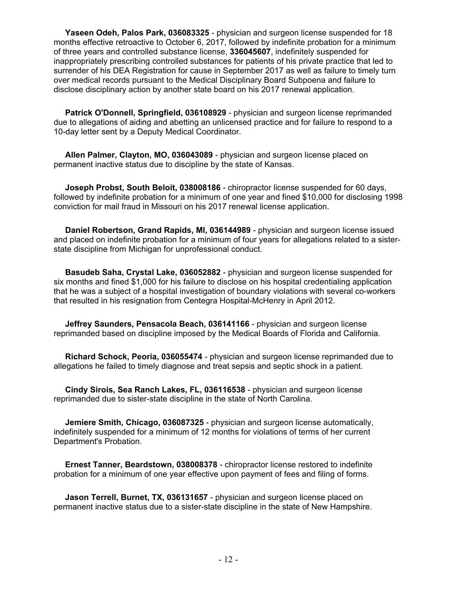**Yaseen Odeh, Palos Park, 036083325** - physician and surgeon license suspended for 18 months effective retroactive to October 6, 2017, followed by indefinite probation for a minimum of three years and controlled substance license, **336045607**, indefinitely suspended for inappropriately prescribing controlled substances for patients of his private practice that led to surrender of his DEA Registration for cause in September 2017 as well as failure to timely turn over medical records pursuant to the Medical Disciplinary Board Subpoena and failure to disclose disciplinary action by another state board on his 2017 renewal application.

 **Patrick O'Donnell, Springfield, 036108929** - physician and surgeon license reprimanded due to allegations of aiding and abetting an unlicensed practice and for failure to respond to a 10-day letter sent by a Deputy Medical Coordinator.

 **Allen Palmer, Clayton, MO, 036043089** - physician and surgeon license placed on permanent inactive status due to discipline by the state of Kansas.

 **Joseph Probst, South Beloit, 038008186** - chiropractor license suspended for 60 days, followed by indefinite probation for a minimum of one year and fined \$10,000 for disclosing 1998 conviction for mail fraud in Missouri on his 2017 renewal license application.

 **Daniel Robertson, Grand Rapids, MI, 036144989** - physician and surgeon license issued and placed on indefinite probation for a minimum of four years for allegations related to a sisterstate discipline from Michigan for unprofessional conduct.

 **Basudeb Saha, Crystal Lake, 036052882** - physician and surgeon license suspended for six months and fined \$1,000 for his failure to disclose on his hospital credentialing application that he was a subject of a hospital investigation of boundary violations with several co-workers that resulted in his resignation from Centegra Hospital-McHenry in April 2012.

 **Jeffrey Saunders, Pensacola Beach, 036141166** - physician and surgeon license reprimanded based on discipline imposed by the Medical Boards of Florida and California.

 **Richard Schock, Peoria, 036055474** - physician and surgeon license reprimanded due to allegations he failed to timely diagnose and treat sepsis and septic shock in a patient.

 **Cindy Sirois, Sea Ranch Lakes, FL, 036116538** - physician and surgeon license reprimanded due to sister-state discipline in the state of North Carolina.

 **Jemiere Smith, Chicago, 036087325** - physician and surgeon license automatically, indefinitely suspended for a minimum of 12 months for violations of terms of her current Department's Probation.

 **Ernest Tanner, Beardstown, 038008378** - chiropractor license restored to indefinite probation for a minimum of one year effective upon payment of fees and filing of forms.

 **Jason Terrell, Burnet, TX, 036131657** - physician and surgeon license placed on permanent inactive status due to a sister-state discipline in the state of New Hampshire.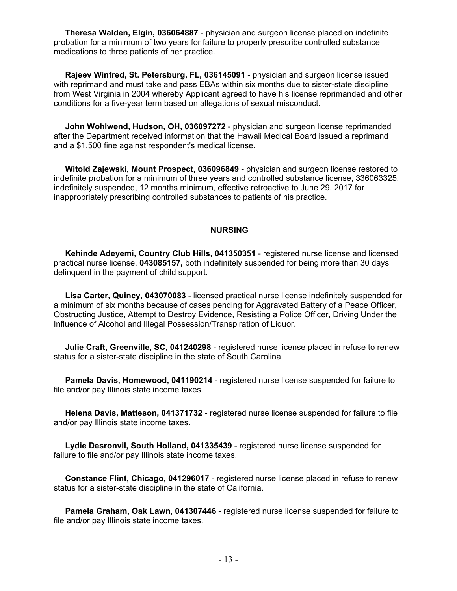**Theresa Walden, Elgin, 036064887** - physician and surgeon license placed on indefinite probation for a minimum of two years for failure to properly prescribe controlled substance medications to three patients of her practice.

 **Rajeev Winfred, St. Petersburg, FL, 036145091** - physician and surgeon license issued with reprimand and must take and pass EBAs within six months due to sister-state discipline from West Virginia in 2004 whereby Applicant agreed to have his license reprimanded and other conditions for a five-year term based on allegations of sexual misconduct.

 **John Wohlwend, Hudson, OH, 036097272** - physician and surgeon license reprimanded after the Department received information that the Hawaii Medical Board issued a reprimand and a \$1,500 fine against respondent's medical license.

 **Witold Zajewski, Mount Prospect, 036096849** - physician and surgeon license restored to indefinite probation for a minimum of three years and controlled substance license, 336063325, indefinitely suspended, 12 months minimum, effective retroactive to June 29, 2017 for inappropriately prescribing controlled substances to patients of his practice.

#### **NURSING**

 **Kehinde Adeyemi, Country Club Hills, 041350351** - registered nurse license and licensed practical nurse license, **043085157,** both indefinitely suspended for being more than 30 days delinquent in the payment of child support.

 **Lisa Carter, Quincy, 043070083** - licensed practical nurse license indefinitely suspended for a minimum of six months because of cases pending for Aggravated Battery of a Peace Officer, Obstructing Justice, Attempt to Destroy Evidence, Resisting a Police Officer, Driving Under the Influence of Alcohol and Illegal Possession/Transpiration of Liquor.

 **Julie Craft, Greenville, SC, 041240298** - registered nurse license placed in refuse to renew status for a sister-state discipline in the state of South Carolina.

 **Pamela Davis, Homewood, 041190214** - registered nurse license suspended for failure to file and/or pay Illinois state income taxes.

 **Helena Davis, Matteson, 041371732** - registered nurse license suspended for failure to file and/or pay Illinois state income taxes.

 **Lydie Desronvil, South Holland, 041335439** - registered nurse license suspended for failure to file and/or pay Illinois state income taxes.

 **Constance Flint, Chicago, 041296017** - registered nurse license placed in refuse to renew status for a sister-state discipline in the state of California.

 **Pamela Graham, Oak Lawn, 041307446** - registered nurse license suspended for failure to file and/or pay Illinois state income taxes.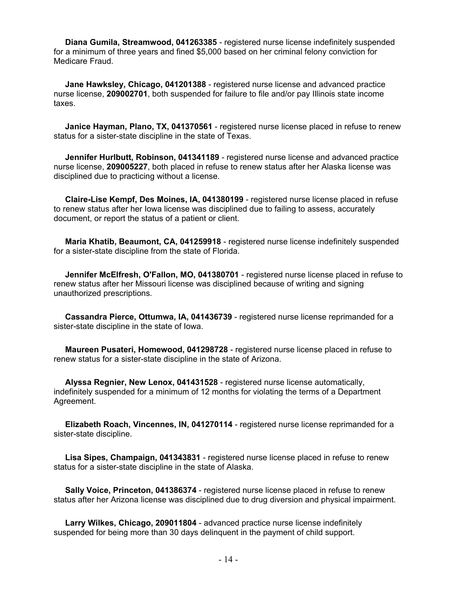**Diana Gumila, Streamwood, 041263385** - registered nurse license indefinitely suspended for a minimum of three years and fined \$5,000 based on her criminal felony conviction for Medicare Fraud.

 **Jane Hawksley, Chicago, 041201388** - registered nurse license and advanced practice nurse license, **209002701**, both suspended for failure to file and/or pay Illinois state income taxes.

 **Janice Hayman, Plano, TX, 041370561** - registered nurse license placed in refuse to renew status for a sister-state discipline in the state of Texas.

 **Jennifer Hurlbutt, Robinson, 041341189** - registered nurse license and advanced practice nurse license, **209005227**, both placed in refuse to renew status after her Alaska license was disciplined due to practicing without a license.

 **Claire-Lise Kempf, Des Moines, IA, 041380199** - registered nurse license placed in refuse to renew status after her Iowa license was disciplined due to failing to assess, accurately document, or report the status of a patient or client.

 **Maria Khatib, Beaumont, CA, 041259918** - registered nurse license indefinitely suspended for a sister-state discipline from the state of Florida.

 **Jennifer McElfresh, O'Fallon, MO, 041380701** - registered nurse license placed in refuse to renew status after her Missouri license was disciplined because of writing and signing unauthorized prescriptions.

 **Cassandra Pierce, Ottumwa, IA, 041436739** - registered nurse license reprimanded for a sister-state discipline in the state of Iowa.

 **Maureen Pusateri, Homewood, 041298728** - registered nurse license placed in refuse to renew status for a sister-state discipline in the state of Arizona.

 **Alyssa Regnier, New Lenox, 041431528** - registered nurse license automatically, indefinitely suspended for a minimum of 12 months for violating the terms of a Department Agreement.

 **Elizabeth Roach, Vincennes, IN, 041270114** - registered nurse license reprimanded for a sister-state discipline.

 **Lisa Sipes, Champaign, 041343831** - registered nurse license placed in refuse to renew status for a sister-state discipline in the state of Alaska.

 **Sally Voice, Princeton, 041386374** - registered nurse license placed in refuse to renew status after her Arizona license was disciplined due to drug diversion and physical impairment.

 **Larry Wilkes, Chicago, 209011804** - advanced practice nurse license indefinitely suspended for being more than 30 days delinquent in the payment of child support.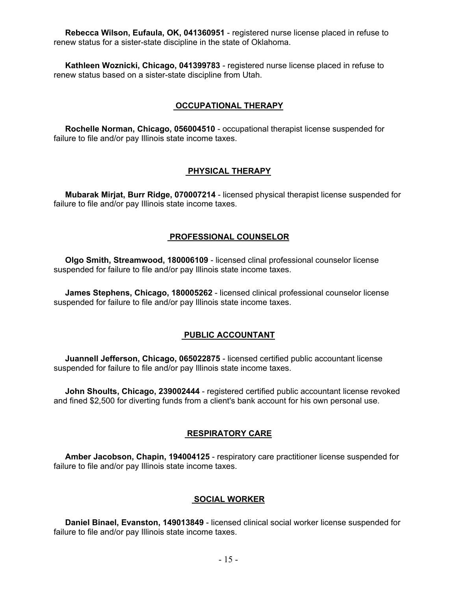**Rebecca Wilson, Eufaula, OK, 041360951** - registered nurse license placed in refuse to renew status for a sister-state discipline in the state of Oklahoma.

 **Kathleen Woznicki, Chicago, 041399783** - registered nurse license placed in refuse to renew status based on a sister-state discipline from Utah.

#### **OCCUPATIONAL THERAPY**

 **Rochelle Norman, Chicago, 056004510** - occupational therapist license suspended for failure to file and/or pay Illinois state income taxes.

#### **PHYSICAL THERAPY**

 **Mubarak Mirjat, Burr Ridge, 070007214** - licensed physical therapist license suspended for failure to file and/or pay Illinois state income taxes.

#### **PROFESSIONAL COUNSELOR**

 **Olgo Smith, Streamwood, 180006109** - licensed clinal professional counselor license suspended for failure to file and/or pay Illinois state income taxes.

 **James Stephens, Chicago, 180005262** - licensed clinical professional counselor license suspended for failure to file and/or pay Illinois state income taxes.

#### **PUBLIC ACCOUNTANT**

 **Juannell Jefferson, Chicago, 065022875** - licensed certified public accountant license suspended for failure to file and/or pay Illinois state income taxes.

 **John Shoults, Chicago, 239002444** - registered certified public accountant license revoked and fined \$2,500 for diverting funds from a client's bank account for his own personal use.

#### **RESPIRATORY CARE**

 **Amber Jacobson, Chapin, 194004125** - respiratory care practitioner license suspended for failure to file and/or pay Illinois state income taxes.

#### **SOCIAL WORKER**

 **Daniel Binael, Evanston, 149013849** - licensed clinical social worker license suspended for failure to file and/or pay Illinois state income taxes.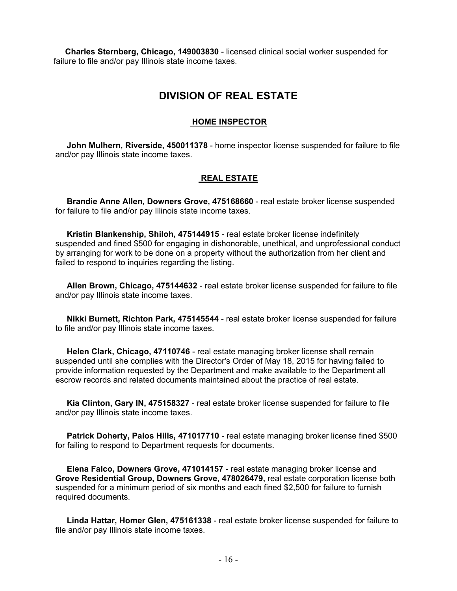**Charles Sternberg, Chicago, 149003830** - licensed clinical social worker suspended for failure to file and/or pay Illinois state income taxes.

# **DIVISION OF REAL ESTATE**

### **HOME INSPECTOR**

 **John Mulhern, Riverside, 450011378** - home inspector license suspended for failure to file and/or pay Illinois state income taxes.

## **REAL ESTATE**

 **Brandie Anne Allen, Downers Grove, 475168660** - real estate broker license suspended for failure to file and/or pay Illinois state income taxes.

 **Kristin Blankenship, Shiloh, 475144915** - real estate broker license indefinitely suspended and fined \$500 for engaging in dishonorable, unethical, and unprofessional conduct by arranging for work to be done on a property without the authorization from her client and failed to respond to inquiries regarding the listing.

 **Allen Brown, Chicago, 475144632** - real estate broker license suspended for failure to file and/or pay Illinois state income taxes.

 **Nikki Burnett, Richton Park, 475145544** - real estate broker license suspended for failure to file and/or pay Illinois state income taxes.

 **Helen Clark, Chicago, 47110746** - real estate managing broker license shall remain suspended until she complies with the Director's Order of May 18, 2015 for having failed to provide information requested by the Department and make available to the Department all escrow records and related documents maintained about the practice of real estate.

 **Kia Clinton, Gary IN, 475158327** - real estate broker license suspended for failure to file and/or pay Illinois state income taxes.

 **Patrick Doherty, Palos Hills, 471017710** - real estate managing broker license fined \$500 for failing to respond to Department requests for documents.

 **Elena Falco, Downers Grove, 471014157** - real estate managing broker license and **Grove Residential Group, Downers Grove, 478026479,** real estate corporation license both suspended for a minimum period of six months and each fined \$2,500 for failure to furnish required documents.

 **Linda Hattar, Homer Glen, 475161338** - real estate broker license suspended for failure to file and/or pay Illinois state income taxes.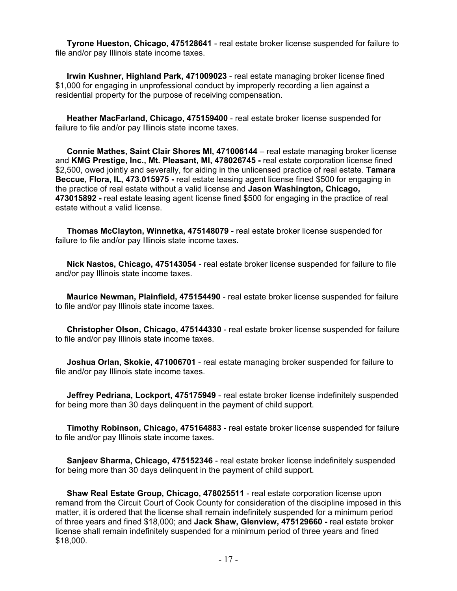**Tyrone Hueston, Chicago, 475128641** - real estate broker license suspended for failure to file and/or pay Illinois state income taxes.

 **Irwin Kushner, Highland Park, 471009023** - real estate managing broker license fined \$1,000 for engaging in unprofessional conduct by improperly recording a lien against a residential property for the purpose of receiving compensation.

 **Heather MacFarland, Chicago, 475159400** - real estate broker license suspended for failure to file and/or pay Illinois state income taxes.

 **Connie Mathes, Saint Clair Shores MI, 471006144** – real estate managing broker license and **KMG Prestige, Inc., Mt. Pleasant, MI, 478026745 -** real estate corporation license fined \$2,500, owed jointly and severally, for aiding in the unlicensed practice of real estate. **Tamara Beccue, Flora, IL, 473.015975 -** real estate leasing agent license fined \$500 for engaging in the practice of real estate without a valid license and **Jason Washington, Chicago, 473015892 -** real estate leasing agent license fined \$500 for engaging in the practice of real estate without a valid license.

 **Thomas McClayton, Winnetka, 475148079** - real estate broker license suspended for failure to file and/or pay Illinois state income taxes.

 **Nick Nastos, Chicago, 475143054** - real estate broker license suspended for failure to file and/or pay Illinois state income taxes.

 **Maurice Newman, Plainfield, 475154490** - real estate broker license suspended for failure to file and/or pay Illinois state income taxes.

 **Christopher Olson, Chicago, 475144330** - real estate broker license suspended for failure to file and/or pay Illinois state income taxes.

 **Joshua Orlan, Skokie, 471006701** - real estate managing broker suspended for failure to file and/or pay Illinois state income taxes.

 **Jeffrey Pedriana, Lockport, 475175949** - real estate broker license indefinitely suspended for being more than 30 days delinquent in the payment of child support.

 **Timothy Robinson, Chicago, 475164883** - real estate broker license suspended for failure to file and/or pay Illinois state income taxes.

 **Sanjeev Sharma, Chicago, 475152346** - real estate broker license indefinitely suspended for being more than 30 days delinquent in the payment of child support.

 **Shaw Real Estate Group, Chicago, 478025511** - real estate corporation license upon remand from the Circuit Court of Cook County for consideration of the discipline imposed in this matter, it is ordered that the license shall remain indefinitely suspended for a minimum period of three years and fined \$18,000; and **Jack Shaw, Glenview, 475129660 -** real estate broker license shall remain indefinitely suspended for a minimum period of three years and fined \$18,000.